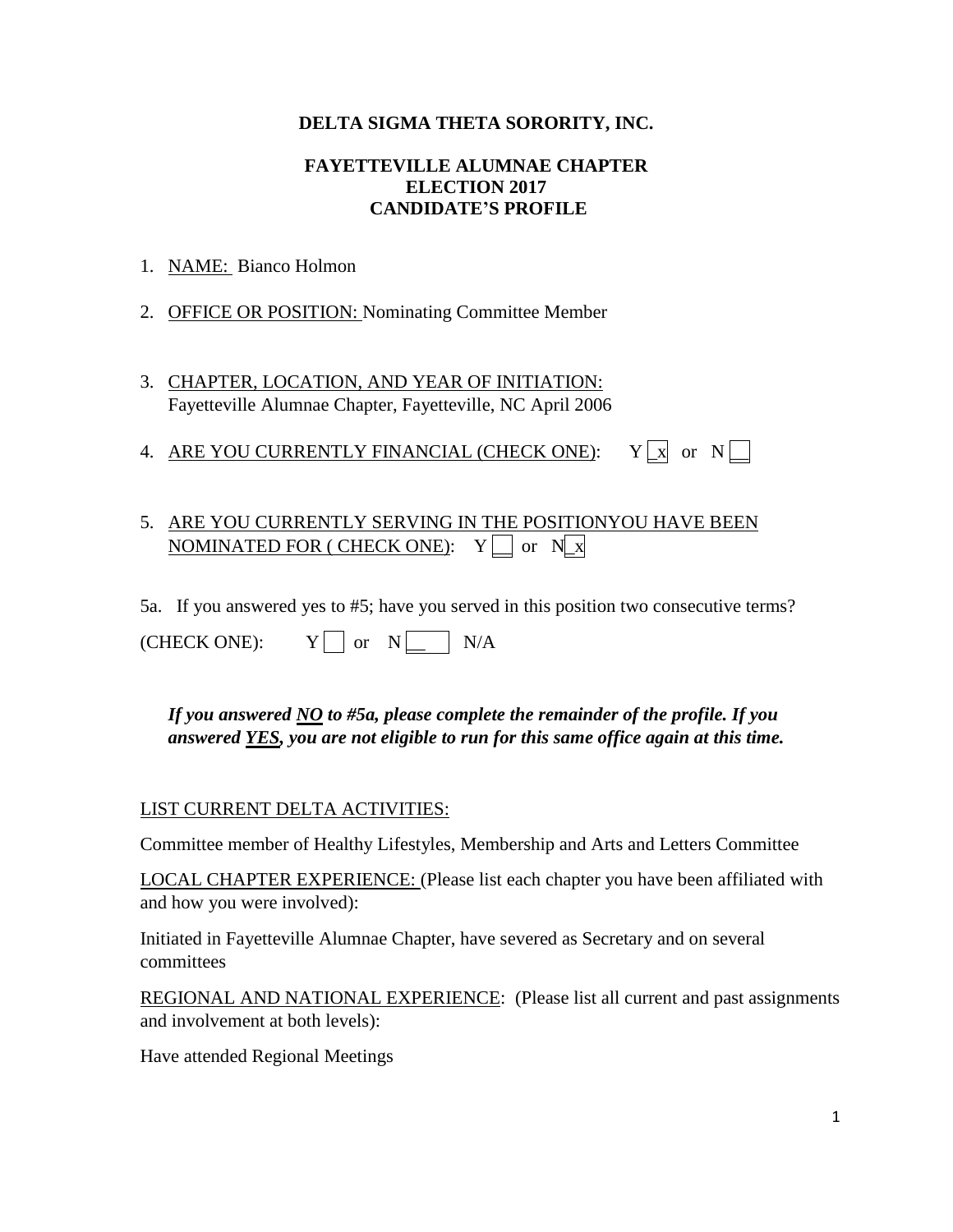### **DELTA SIGMA THETA SORORITY, INC.**

### **FAYETTEVILLE ALUMNAE CHAPTER ELECTION 2017 CANDIDATE'S PROFILE**

- 1. NAME: Bianco Holmon
- 2. OFFICE OR POSITION: Nominating Committee Member
- 3. CHAPTER, LOCATION, AND YEAR OF INITIATION: Fayetteville Alumnae Chapter, Fayetteville, NC April 2006
- 4. ARE YOU CURRENTLY FINANCIAL (CHECK ONE):  $Y \rvert X$  or  $N \rvert$

# 5. ARE YOU CURRENTLY SERVING IN THE POSITIONYOU HAVE BEEN NOMINATED FOR ( CHECK ONE):  $Y \Box$  or  $N \Box x$

5a. If you answered yes to #5; have you served in this position two consecutive terms?

| (CHECK ONE): |  | or |  | N/A |
|--------------|--|----|--|-----|
|--------------|--|----|--|-----|

*If you answered NO to #5a, please complete the remainder of the profile. If you answered YES, you are not eligible to run for this same office again at this time.* 

### LIST CURRENT DELTA ACTIVITIES:

Committee member of Healthy Lifestyles, Membership and Arts and Letters Committee

LOCAL CHAPTER EXPERIENCE: (Please list each chapter you have been affiliated with and how you were involved):

Initiated in Fayetteville Alumnae Chapter, have severed as Secretary and on several committees

REGIONAL AND NATIONAL EXPERIENCE: (Please list all current and past assignments and involvement at both levels):

Have attended Regional Meetings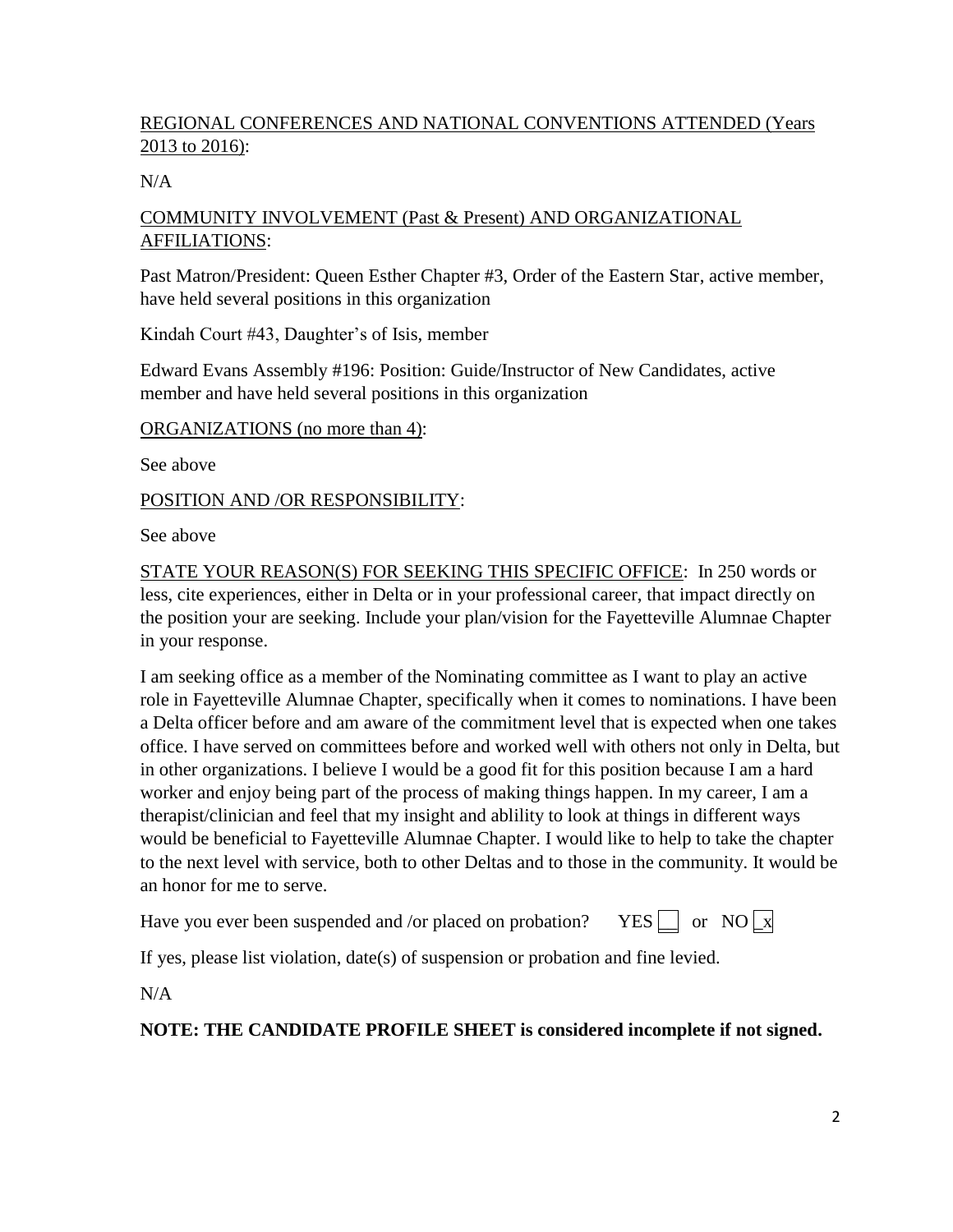## REGIONAL CONFERENCES AND NATIONAL CONVENTIONS ATTENDED (Years 2013 to 2016):

### $N/A$

### COMMUNITY INVOLVEMENT (Past & Present) AND ORGANIZATIONAL AFFILIATIONS:

Past Matron/President: Queen Esther Chapter #3, Order of the Eastern Star, active member, have held several positions in this organization

Kindah Court #43, Daughter's of Isis, member

Edward Evans Assembly #196: Position: Guide/Instructor of New Candidates, active member and have held several positions in this organization

ORGANIZATIONS (no more than 4):

See above

### POSITION AND /OR RESPONSIBILITY:

See above

STATE YOUR REASON(S) FOR SEEKING THIS SPECIFIC OFFICE: In 250 words or less, cite experiences, either in Delta or in your professional career, that impact directly on the position your are seeking. Include your plan/vision for the Fayetteville Alumnae Chapter in your response.

I am seeking office as a member of the Nominating committee as I want to play an active role in Fayetteville Alumnae Chapter, specifically when it comes to nominations. I have been a Delta officer before and am aware of the commitment level that is expected when one takes office. I have served on committees before and worked well with others not only in Delta, but in other organizations. I believe I would be a good fit for this position because I am a hard worker and enjoy being part of the process of making things happen. In my career, I am a therapist/clinician and feel that my insight and ablility to look at things in different ways would be beneficial to Fayetteville Alumnae Chapter. I would like to help to take the chapter to the next level with service, both to other Deltas and to those in the community. It would be an honor for me to serve.

Have you ever been suspended and /or placed on probation? YES  $\Box$  or NO  $\Box$  X

If yes, please list violation, date(s) of suspension or probation and fine levied.

N/A

## **NOTE: THE CANDIDATE PROFILE SHEET is considered incomplete if not signed.**